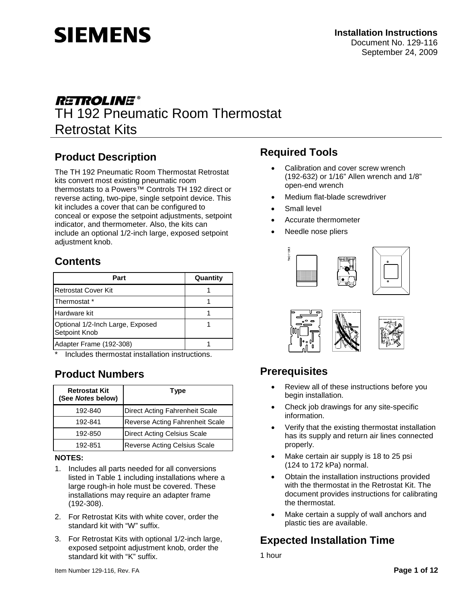

# **RETROLINE®** TH 192 Pneumatic Room Thermostat Retrostat Kits

## **Product Description**

The TH 192 Pneumatic Room Thermostat Retrostat kits convert most existing pneumatic room thermostats to a Powers™ Controls TH 192 direct or reverse acting, two-pipe, single setpoint device. This kit includes a cover that can be configured to conceal or expose the setpoint adjustments, setpoint indicator, and thermometer. Also, the kits can include an optional 1/2-inch large, exposed setpoint adjustment knob.

### **Contents**

| Part                                              | Quantity |
|---------------------------------------------------|----------|
| Retrostat Cover Kit                               |          |
| Thermostat *                                      |          |
| Hardware kit                                      |          |
| Optional 1/2-Inch Large, Exposed<br>Setpoint Knob |          |
| Adapter Frame (192-308)                           |          |

Includes thermostat installation instructions.

### **Product Numbers**

| <b>Retrostat Kit</b><br>(See Notes below) | <b>Type</b>                         |
|-------------------------------------------|-------------------------------------|
| 192-840                                   | Direct Acting Fahrenheit Scale      |
| 192-841                                   | Reverse Acting Fahrenheit Scale     |
| 192-850                                   | <b>Direct Acting Celsius Scale</b>  |
| 192-851                                   | <b>Reverse Acting Celsius Scale</b> |

#### **NOTES:**

- 1. Includes all parts needed for all conversions listed in Table 1 including installations where a large rough-in hole must be covered. These installations may require an adapter frame (192-308).
- 2. For Retrostat Kits with white cover, order the standard kit with "W" suffix.
- 3. For Retrostat Kits with optional 1/2-inch large, exposed setpoint adjustment knob, order the standard kit with "K" suffix.

### **Required Tools**

- Calibration and cover screw wrench (192-632) or 1/16" Allen wrench and 1/8" open-end wrench
- Medium flat-blade screwdriver
- Small level
- Accurate thermometer
- Needle nose pliers





## **Prerequisites**

- Review all of these instructions before you begin installation.
- Check job drawings for any site-specific information.
- Verify that the existing thermostat installation has its supply and return air lines connected properly.
- Make certain air supply is 18 to 25 psi (124 to 172 kPa) normal.
- Obtain the installation instructions provided with the thermostat in the Retrostat Kit. The document provides instructions for calibrating the thermostat.
- Make certain a supply of wall anchors and plastic ties are available.

## **Expected Installation Time**

1 hour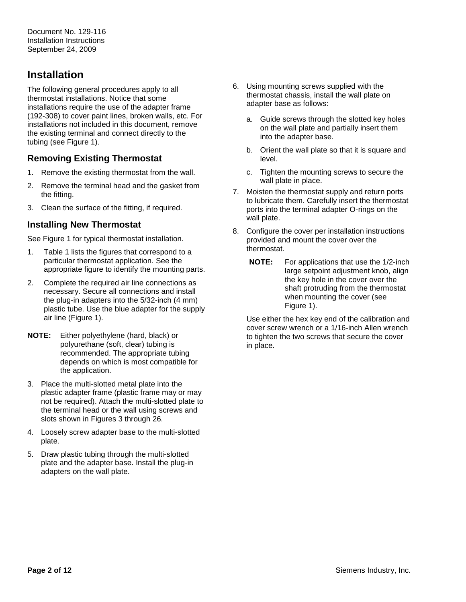## **Installation**

The following general procedures apply to all thermostat installations. Notice that some installations require the use of the adapter frame (192-308) to cover paint lines, broken walls, etc. For installations not included in this document, remove the existing terminal and connect directly to the tubing (see Figure 1).

### **Removing Existing Thermostat**

- 1. Remove the existing thermostat from the wall.
- 2. Remove the terminal head and the gasket from the fitting.
- 3. Clean the surface of the fitting, if required.

#### **Installing New Thermostat**

See Figure 1 for typical thermostat installation.

- 1. Table 1 lists the figures that correspond to a particular thermostat application. See the appropriate figure to identify the mounting parts.
- 2. Complete the required air line connections as necessary. Secure all connections and install the plug-in adapters into the 5/32-inch (4 mm) plastic tube. Use the blue adapter for the supply air line (Figure 1).
- **NOTE:** Either polyethylene (hard, black) or polyurethane (soft, clear) tubing is recommended. The appropriate tubing depends on which is most compatible for the application.
- 3. Place the multi-slotted metal plate into the plastic adapter frame (plastic frame may or may not be required). Attach the multi-slotted plate to the terminal head or the wall using screws and slots shown in Figures 3 through 26.
- 4. Loosely screw adapter base to the multi-slotted plate.
- 5. Draw plastic tubing through the multi-slotted plate and the adapter base. Install the plug-in adapters on the wall plate.
- 6. Using mounting screws supplied with the thermostat chassis, install the wall plate on adapter base as follows:
	- a. Guide screws through the slotted key holes on the wall plate and partially insert them into the adapter base.
	- b. Orient the wall plate so that it is square and level.
	- c. Tighten the mounting screws to secure the wall plate in place.
- 7. Moisten the thermostat supply and return ports to lubricate them. Carefully insert the thermostat ports into the terminal adapter O-rings on the wall plate.
- 8. Configure the cover per installation instructions provided and mount the cover over the thermostat.
	- **NOTE:** For applications that use the 1/2-inch large setpoint adjustment knob, align the key hole in the cover over the shaft protruding from the thermostat when mounting the cover (see Figure 1).

Use either the hex key end of the calibration and cover screw wrench or a 1/16-inch Allen wrench to tighten the two screws that secure the cover in place.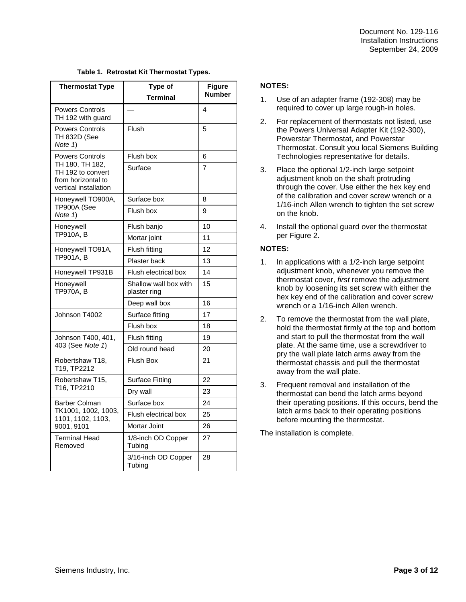| <b>Thermostat Type</b>                                                                                        | Type of                               | Figure        |
|---------------------------------------------------------------------------------------------------------------|---------------------------------------|---------------|
|                                                                                                               | Terminal                              | <b>Number</b> |
| <b>Powers Controls</b><br>TH 192 with guard                                                                   |                                       | 4             |
| <b>Powers Controls</b><br><b>TH 832D (See</b><br>Note 1)                                                      | Flush                                 | 5             |
| <b>Powers Controls</b><br>TH 180, TH 182,<br>TH 192 to convert<br>from horizontal to<br>vertical installation | Flush box                             | 6             |
|                                                                                                               | Surface                               | 7             |
| Honeywell TO900A,<br>TP900A (See<br>Note 1)                                                                   | Surface box                           | 8             |
|                                                                                                               | Flush box                             | 9             |
| Honeywell                                                                                                     | Flush banjo                           | 10            |
| TP910A, B                                                                                                     | Mortar joint                          | 11            |
| Honeywell TO91A,                                                                                              | Flush fitting                         | 12            |
| TP901A, B                                                                                                     | Plaster back                          | 13            |
| Honeywell TP931B                                                                                              | Flush electrical box                  | 14            |
| Honeywell<br>TP970A. B                                                                                        | Shallow wall box with<br>plaster ring | 15            |
|                                                                                                               | Deep wall box                         | 16            |
| Johnson T4002                                                                                                 | Surface fitting                       | 17            |
|                                                                                                               | Flush box                             | 18            |
| Johnson T400, 401,<br>403 (See Note 1)                                                                        | Flush fitting                         | 19            |
|                                                                                                               | Old round head                        | 20            |
| Robertshaw T18,<br>T19, TP2212                                                                                | <b>Flush Box</b>                      | 21            |
| Robertshaw T15,<br>T16, TP2210                                                                                | <b>Surface Fitting</b>                | 22            |
|                                                                                                               | Dry wall                              | 23            |
| <b>Barber Colman</b>                                                                                          | Surface box                           | 24            |
| TK1001, 1002, 1003,<br>1101, 1102, 1103,<br>9001, 9101                                                        | Flush electrical box                  | 25            |
|                                                                                                               | Mortar Joint                          | 26            |
| Terminal Head<br>Removed                                                                                      | 1/8-inch OD Copper<br>Tubing          | 27            |
|                                                                                                               | 3/16-inch OD Copper<br>Tubina         | 28            |

#### **Table 1. Retrostat Kit Thermostat Types.**

#### **NOTES:**

- 1. Use of an adapter frame (192-308) may be required to cover up large rough-in holes.
- 2. For replacement of thermostats not listed, use the Powers Universal Adapter Kit (192-300), Powerstar Thermostat, and Powerstar Thermostat. Consult you local Siemens Building Technologies representative for details.
- 3. Place the optional 1/2-inch large setpoint adjustment knob on the shaft protruding through the cover. Use either the hex key end of the calibration and cover screw wrench or a 1/16-inch Allen wrench to tighten the set screw on the knob.
- 4. Install the optional guard over the thermostat per Figure 2.

#### **NOTES:**

- 1. In applications with a 1/2-inch large setpoint adjustment knob, whenever you remove the thermostat cover, *first* remove the adjustment knob by loosening its set screw with either the hex key end of the calibration and cover screw wrench or a 1/16-inch Allen wrench.
- 2. To remove the thermostat from the wall plate, hold the thermostat firmly at the top and bottom and start to pull the thermostat from the wall plate. At the same time, use a screwdriver to pry the wall plate latch arms away from the thermostat chassis and pull the thermostat away from the wall plate.
- 3. Frequent removal and installation of the thermostat can bend the latch arms beyond their operating positions. If this occurs, bend the latch arms back to their operating positions before mounting the thermostat.

The installation is complete.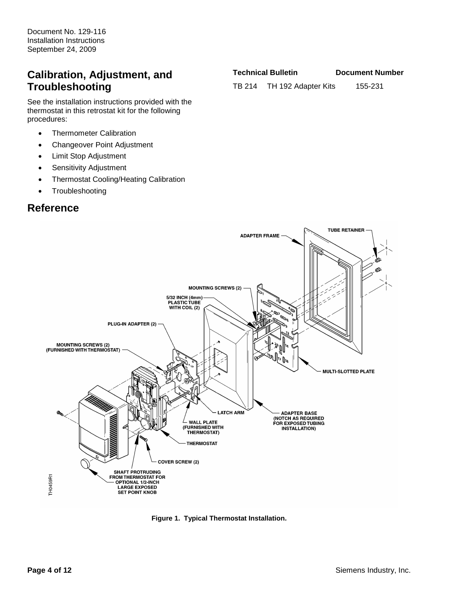### **Calibration, Adjustment, and Troubleshooting**

See the installation instructions provided with the thermostat in this retrostat kit for the following procedures:

- Thermometer Calibration
- Changeover Point Adjustment
- Limit Stop Adjustment
- Sensitivity Adjustment
- Thermostat Cooling/Heating Calibration
- **Troubleshooting**

### **Reference**

**Technical Bulletin Document Number**

TB 214 TH 192 Adapter Kits 155-231



**Figure 1. Typical Thermostat Installation.**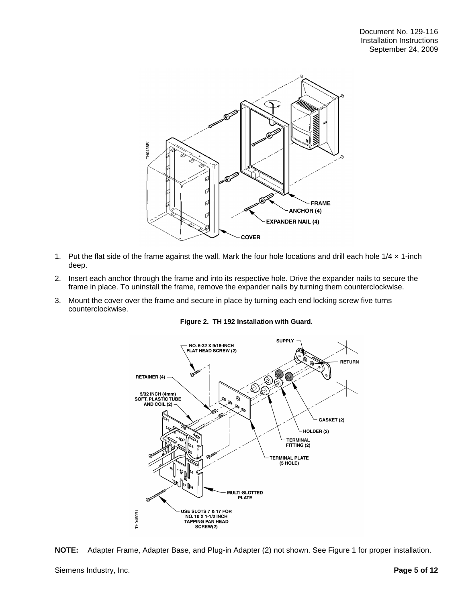

- 1. Put the flat side of the frame against the wall. Mark the four hole locations and drill each hole  $1/4 \times 1$ -inch deep.
- 2. Insert each anchor through the frame and into its respective hole. Drive the expander nails to secure the frame in place. To uninstall the frame, remove the expander nails by turning them counterclockwise.
- 3. Mount the cover over the frame and secure in place by turning each end locking screw five turns counterclockwise.







Siemens Industry, Inc. **Page 5 of 12**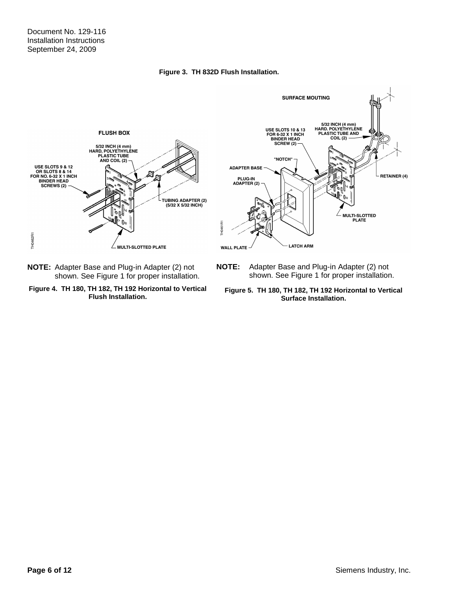#### **Figure 3. TH 832D Flush Installation.**



**NOTE:** Adapter Base and Plug-in Adapter (2) not shown. See Figure 1 for proper installation.





**NOTE:** Adapter Base and Plug-in Adapter (2) not shown. See Figure 1 for proper installation.

**Figure 5. TH 180, TH 182, TH 192 Horizontal to Vertical Surface Installation.**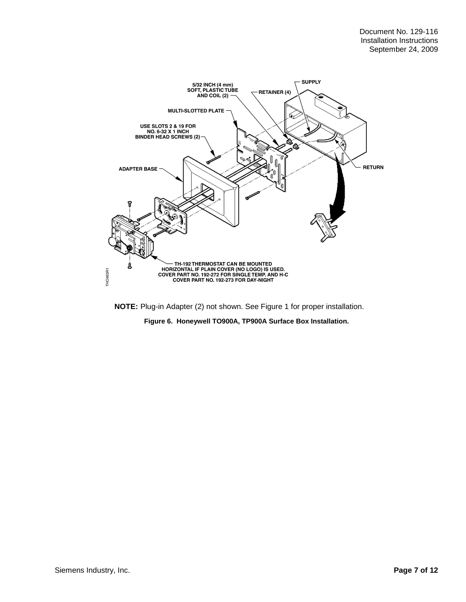

**NOTE:** Plug-in Adapter (2) not shown. See Figure 1 for proper installation.

**Figure 6. Honeywell TO900A, TP900A Surface Box Installation.**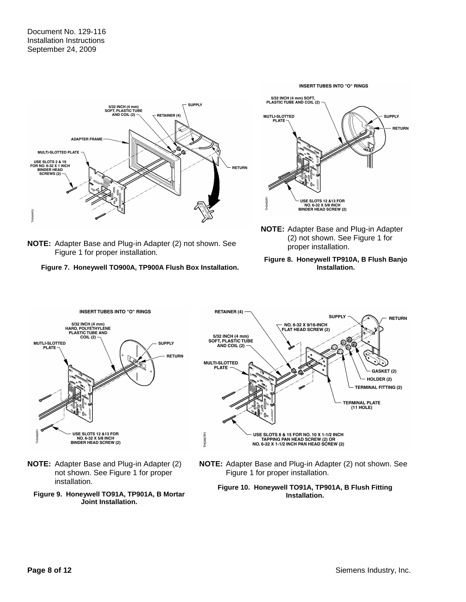

**NOTE:** Adapter Base and Plug-in Adapter (2) not shown. See Figure 1 for proper installation.

**Figure 7. Honeywell TO900A, TP900A Flush Box Installation.**



**NOTE:** Adapter Base and Plug-in Adapter (2) not shown. See Figure 1 for proper installation.

#### **Figure 8. Honeywell TP910A, B Flush Banjo Installation.**



- **NOTE:** Adapter Base and Plug-in Adapter (2) not shown. See Figure 1 for proper installation.
	- **Figure 9. Honeywell TO91A, TP901A, B Mortar Joint Installation.**



**NOTE:** Adapter Base and Plug-in Adapter (2) not shown. See Figure 1 for proper installation.

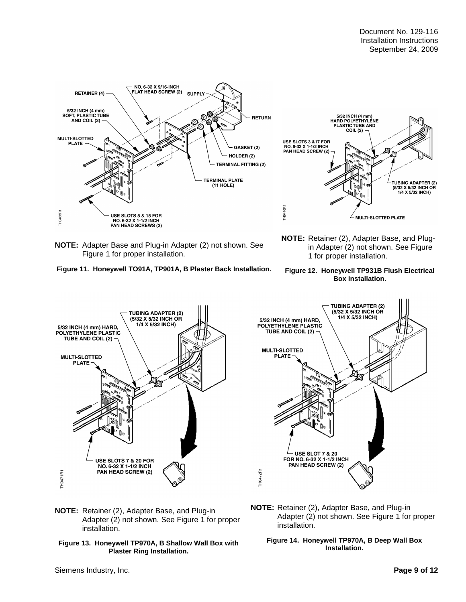



**NOTE:** Retainer (2), Adapter Base, and Plugin Adapter (2) not shown. See Figure 1 for proper installation.

**NOTE:** Adapter Base and Plug-in Adapter (2) not shown. See Figure 1 for proper installation.









**NOTE:** Retainer (2), Adapter Base, and Plug-in Adapter (2) not shown. See Figure 1 for proper installation.



**NOTE:** Retainer (2), Adapter Base, and Plug-in Adapter (2) not shown. See Figure 1 for proper installation.

#### **Figure 14. Honeywell TP970A, B Deep Wall Box Installation.**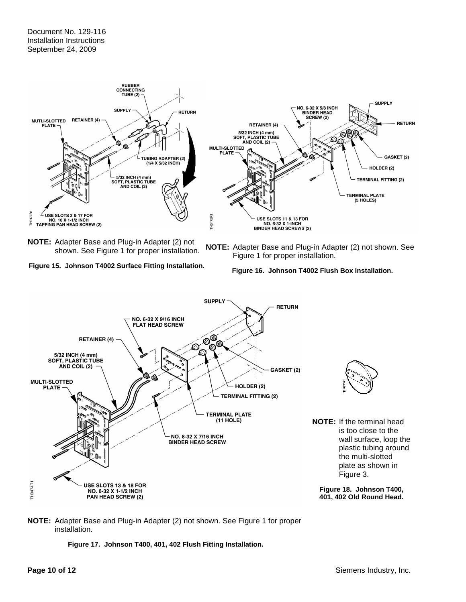#### Document No. 129-116 Installation Instructions September 24, 2009



**NOTE:** Adapter Base and Plug-in Adapter (2) not shown. See Figure 1 for proper installation.



**NOTE:** Adapter Base and Plug-in Adapter (2) not shown. See Figure 1 for proper installation.





#### **NOTE:** Adapter Base and Plug-in Adapter (2) not shown. See Figure 1 for proper installation.

**Figure 17. Johnson T400, 401, 402 Flush Fitting Installation.**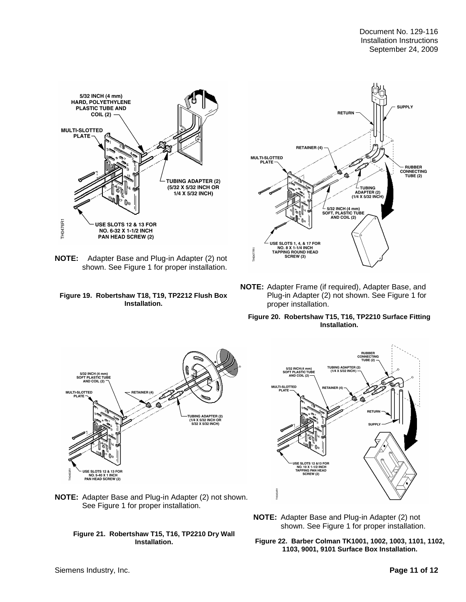

**NOTE:** Adapter Base and Plug-in Adapter (2) not shown. See Figure 1 for proper installation.





**NOTE:** Adapter Frame (if required), Adapter Base, and Plug-in Adapter (2) not shown. See Figure 1 for proper installation.

#### **Figure 20. Robertshaw T15, T16, TP2210 Surface Fitting Installation.**





**NOTE:** Adapter Base and Plug-in Adapter (2) not shown. See Figure 1 for proper installation.

**Figure 21. Robertshaw T15, T16, TP2210 Dry Wall Installation.**

**NOTE:** Adapter Base and Plug-in Adapter (2) not shown. See Figure 1 for proper installation.

**Figure 22. Barber Colman TK1001, 1002, 1003, 1101, 1102, 1103, 9001, 9101 Surface Box Installation.**